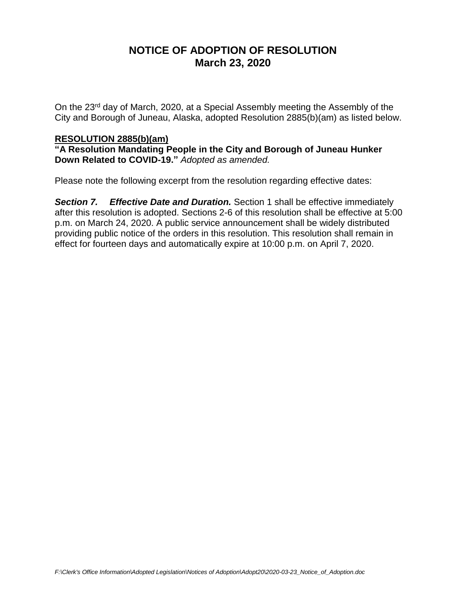# **NOTICE OF ADOPTION OF RESOLUTION March 23, 2020**

On the 23rd day of March, 2020, at a Special Assembly meeting the Assembly of the City and Borough of Juneau, Alaska, adopted Resolution 2885(b)(am) as listed below.

## **RESOLUTION 2885(b)(am)**

**"A Resolution Mandating People in the City and Borough of Juneau Hunker Down Related to COVID-19."** *Adopted as amended.*

Please note the following excerpt from the resolution regarding effective dates:

*Section 7. Effective Date and Duration.* Section 1 shall be effective immediately after this resolution is adopted. Sections 2-6 of this resolution shall be effective at 5:00 p.m. on March 24, 2020. A public service announcement shall be widely distributed providing public notice of the orders in this resolution. This resolution shall remain in effect for fourteen days and automatically expire at 10:00 p.m. on April 7, 2020.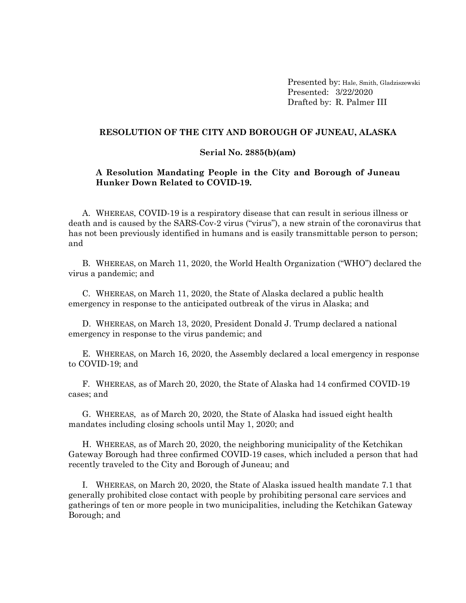Presented by: Hale, Smith, Gladziszewski Presented: 3/22/2020 Drafted by: R. Palmer III

#### **RESOLUTION OF THE CITY AND BOROUGH OF JUNEAU, ALASKA**

#### **Serial No. 2885(b)(am)**

### **A Resolution Mandating People in the City and Borough of Juneau Hunker Down Related to COVID-19.**

A. WHEREAS, COVID-19 is a respiratory disease that can result in serious illness or death and is caused by the SARS-Cov-2 virus ("virus"), a new strain of the coronavirus that has not been previously identified in humans and is easily transmittable person to person; and

B. WHEREAS, on March 11, 2020, the World Health Organization ("WHO") declared the virus a pandemic; and

C. WHEREAS, on March 11, 2020, the State of Alaska declared a public health emergency in response to the anticipated outbreak of the virus in Alaska; and

D. WHEREAS, on March 13, 2020, President Donald J. Trump declared a national emergency in response to the virus pandemic; and

E. WHEREAS, on March 16, 2020, the Assembly declared a local emergency in response to COVID-19; and

F. WHEREAS, as of March 20, 2020, the State of Alaska had 14 confirmed COVID-19 cases; and

G. WHEREAS, as of March 20, 2020, the State of Alaska had issued eight health mandates including closing schools until May 1, 2020; and

H. WHEREAS, as of March 20, 2020, the neighboring municipality of the Ketchikan Gateway Borough had three confirmed COVID-19 cases, which included a person that had recently traveled to the City and Borough of Juneau; and

I. WHEREAS, on March 20, 2020, the State of Alaska issued health mandate 7.1 that generally prohibited close contact with people by prohibiting personal care services and gatherings of ten or more people in two municipalities, including the Ketchikan Gateway Borough; and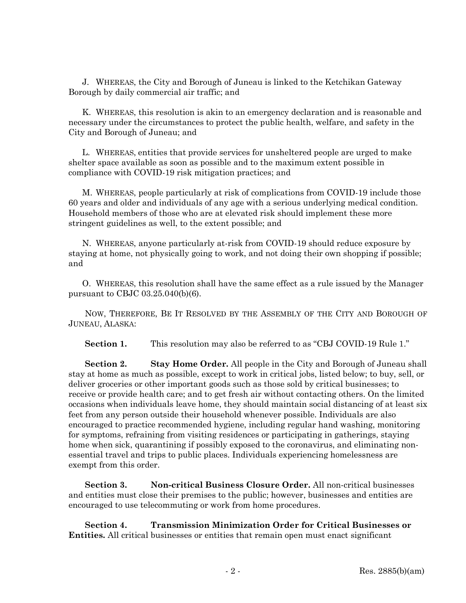J. WHEREAS, the City and Borough of Juneau is linked to the Ketchikan Gateway Borough by daily commercial air traffic; and

K. WHEREAS, this resolution is akin to an emergency declaration and is reasonable and necessary under the circumstances to protect the public health, welfare, and safety in the City and Borough of Juneau; and

L. WHEREAS, entities that provide services for unsheltered people are urged to make shelter space available as soon as possible and to the maximum extent possible in compliance with COVID-19 risk mitigation practices; and

M. WHEREAS, people particularly at risk of complications from COVID-19 include those 60 years and older and individuals of any age with a serious underlying medical condition. Household members of those who are at elevated risk should implement these more stringent guidelines as well, to the extent possible; and

N. WHEREAS, anyone particularly at-risk from COVID-19 should reduce exposure by staying at home, not physically going to work, and not doing their own shopping if possible; and

O. WHEREAS, this resolution shall have the same effect as a rule issued by the Manager pursuant to CBJC 03.25.040(b)(6).

NOW, THEREFORE, BE IT RESOLVED BY THE ASSEMBLY OF THE CITY AND BOROUGH OF JUNEAU, ALASKA:

Section 1. This resolution may also be referred to as "CBJ COVID-19 Rule 1."

**Section 2. Stay Home Order.** All people in the City and Borough of Juneau shall stay at home as much as possible, except to work in critical jobs, listed below; to buy, sell, or deliver groceries or other important goods such as those sold by critical businesses; to receive or provide health care; and to get fresh air without contacting others. On the limited occasions when individuals leave home, they should maintain social distancing of at least six feet from any person outside their household whenever possible. Individuals are also encouraged to practice recommended hygiene, including regular hand washing, monitoring for symptoms, refraining from visiting residences or participating in gatherings, staying home when sick, quarantining if possibly exposed to the coronavirus, and eliminating nonessential travel and trips to public places. Individuals experiencing homelessness are exempt from this order.

**Section 3. Non-critical Business Closure Order.** All non-critical businesses and entities must close their premises to the public; however, businesses and entities are encouraged to use telecommuting or work from home procedures.

**Section 4. Transmission Minimization Order for Critical Businesses or Entities.** All critical businesses or entities that remain open must enact significant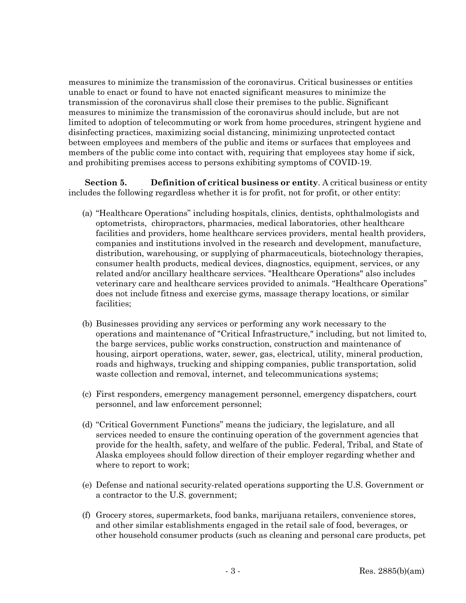measures to minimize the transmission of the coronavirus. Critical businesses or entities unable to enact or found to have not enacted significant measures to minimize the transmission of the coronavirus shall close their premises to the public. Significant measures to minimize the transmission of the coronavirus should include, but are not limited to adoption of telecommuting or work from home procedures, stringent hygiene and disinfecting practices, maximizing social distancing, minimizing unprotected contact between employees and members of the public and items or surfaces that employees and members of the public come into contact with, requiring that employees stay home if sick, and prohibiting premises access to persons exhibiting symptoms of COVID-19.

**Section 5. Definition of critical business or entity**. A critical business or entity includes the following regardless whether it is for profit, not for profit, or other entity:

- (a) "Healthcare Operations" including hospitals, clinics, dentists, ophthalmologists and optometrists, chiropractors, pharmacies, medical laboratories, other healthcare facilities and providers, home healthcare services providers, mental health providers, companies and institutions involved in the research and development, manufacture, distribution, warehousing, or supplying of pharmaceuticals, biotechnology therapies, consumer health products, medical devices, diagnostics, equipment, services, or any related and/or ancillary healthcare services. "Healthcare Operations" also includes veterinary care and healthcare services provided to animals. "Healthcare Operations" does not include fitness and exercise gyms, massage therapy locations, or similar facilities;
- (b) Businesses providing any services or performing any work necessary to the operations and maintenance of "Critical Infrastructure," including, but not limited to, the barge services, public works construction, construction and maintenance of housing, airport operations, water, sewer, gas, electrical, utility, mineral production, roads and highways, trucking and shipping companies, public transportation, solid waste collection and removal, internet, and telecommunications systems;
- (c) First responders, emergency management personnel, emergency dispatchers, court personnel, and law enforcement personnel;
- (d) "Critical Government Functions" means the judiciary, the legislature, and all services needed to ensure the continuing operation of the government agencies that provide for the health, safety, and welfare of the public. Federal, Tribal, and State of Alaska employees should follow direction of their employer regarding whether and where to report to work;
- (e) Defense and national security-related operations supporting the U.S. Government or a contractor to the U.S. government;
- (f) Grocery stores, supermarkets, food banks, marijuana retailers, convenience stores, and other similar establishments engaged in the retail sale of food, beverages, or other household consumer products (such as cleaning and personal care products, pet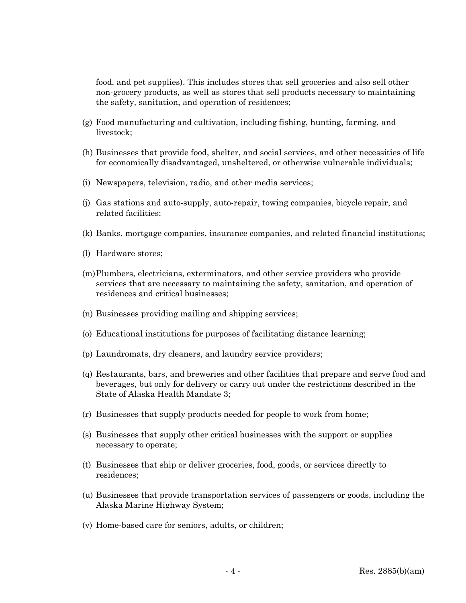food, and pet supplies). This includes stores that sell groceries and also sell other non-grocery products, as well as stores that sell products necessary to maintaining the safety, sanitation, and operation of residences;

- (g) Food manufacturing and cultivation, including fishing, hunting, farming, and livestock;
- (h) Businesses that provide food, shelter, and social services, and other necessities of life for economically disadvantaged, unsheltered, or otherwise vulnerable individuals;
- (i) Newspapers, television, radio, and other media services;
- (j) Gas stations and auto-supply, auto-repair, towing companies, bicycle repair, and related facilities;
- (k) Banks, mortgage companies, insurance companies, and related financial institutions;
- (l) Hardware stores;
- (m)Plumbers, electricians, exterminators, and other service providers who provide services that are necessary to maintaining the safety, sanitation, and operation of residences and critical businesses;
- (n) Businesses providing mailing and shipping services;
- (o) Educational institutions for purposes of facilitating distance learning;
- (p) Laundromats, dry cleaners, and laundry service providers;
- (q) Restaurants, bars, and breweries and other facilities that prepare and serve food and beverages, but only for delivery or carry out under the restrictions described in the State of Alaska Health Mandate 3;
- (r) Businesses that supply products needed for people to work from home;
- (s) Businesses that supply other critical businesses with the support or supplies necessary to operate;
- (t) Businesses that ship or deliver groceries, food, goods, or services directly to residences;
- (u) Businesses that provide transportation services of passengers or goods, including the Alaska Marine Highway System;
- (v) Home-based care for seniors, adults, or children;